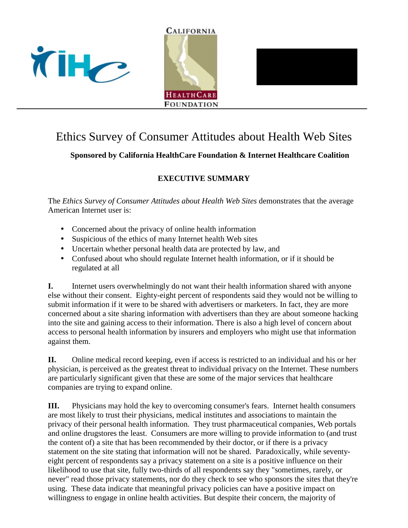





## Ethics Survey of Consumer Attitudes about Health Web Sites

## **Sponsored by California HealthCare Foundation & Internet Healthcare Coalition**

## **EXECUTIVE SUMMARY**

The *Ethics Survey of Consumer Attitudes about Health Web Sites* demonstrates that the average American Internet user is:

- Concerned about the privacy of online health information
- Suspicious of the ethics of many Internet health Web sites
- Uncertain whether personal health data are protected by law, and
- Confused about who should regulate Internet health information, or if it should be regulated at all

**I.** Internet users overwhelmingly do not want their health information shared with anyone else without their consent. Eighty-eight percent of respondents said they would not be willing to submit information if it were to be shared with advertisers or marketers. In fact, they are more concerned about a site sharing information with advertisers than they are about someone hacking into the site and gaining access to their information. There is also a high level of concern about access to personal health information by insurers and employers who might use that information against them.

**II.** Online medical record keeping, even if access is restricted to an individual and his or her physician, is perceived as the greatest threat to individual privacy on the Internet. These numbers are particularly significant given that these are some of the major services that healthcare companies are trying to expand online.

**III.** Physicians may hold the key to overcoming consumer's fears. Internet health consumers are most likely to trust their physicians, medical institutes and associations to maintain the privacy of their personal health information. They trust pharmaceutical companies, Web portals and online drugstores the least. Consumers are more willing to provide information to (and trust the content of) a site that has been recommended by their doctor, or if there is a privacy statement on the site stating that information will not be shared. Paradoxically, while seventyeight percent of respondents say a privacy statement on a site is a positive influence on their likelihood to use that site, fully two-thirds of all respondents say they "sometimes, rarely, or never" read those privacy statements, nor do they check to see who sponsors the sites that they're using. These data indicate that meaningful privacy policies can have a positive impact on willingness to engage in online health activities. But despite their concern, the majority of